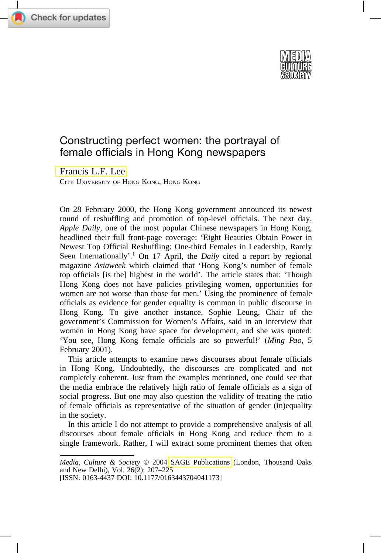



# Constructing perfect women: the portrayal of female officials in Hong Kong newspapers

[Francis L.F. Lee](#page-18-0) CITY UNIVERSITY OF HONG KONG, HONG KONG

On 28 February 2000, the Hong Kong government announced its newest round of reshuffling and promotion of top-level officials. The next day, *Apple Daily*, one of the most popular Chinese newspapers in Hong Kong, headlined their full front-page coverage: 'Eight Beauties Obtain Power in Newest Top Official Reshuffling: One-third Females in Leadership, Rarely Seen Internationally'.<sup>1</sup> On 17 April, the *Daily* cited a report by regional magazine *Asiaweek* which claimed that 'Hong Kong's number of female top officials [is the] highest in the world'. The article states that: 'Though Hong Kong does not have policies privileging women, opportunities for women are not worse than those for men.' Using the prominence of female officials as evidence for gender equality is common in public discourse in Hong Kong. To give another instance, Sophie Leung, Chair of the government's Commission for Women's Affairs, said in an interview that women in Hong Kong have space for development, and she was quoted: 'You see, Hong Kong female officials are so powerful!' (*Ming Pao*, 5 February 2001).

This article attempts to examine news discourses about female officials in Hong Kong. Undoubtedly, the discourses are complicated and not completely coherent. Just from the examples mentioned, one could see that the media embrace the relatively high ratio of female officials as a sign of social progress. But one may also question the validity of treating the ratio of female officials as representative of the situation of gender (in)equality in the society.

In this article I do not attempt to provide a comprehensive analysis of all discourses about female officials in Hong Kong and reduce them to a single framework. Rather, I will extract some prominent themes that often

*Media, Culture & Society* © 2004 [SAGE Publications](www.sagepublications.com) (London, Thousand Oaks and New Delhi), Vol. 26(2): 207–225 [ISSN: 0163-4437 DOI: 10.1177/0163443704041173]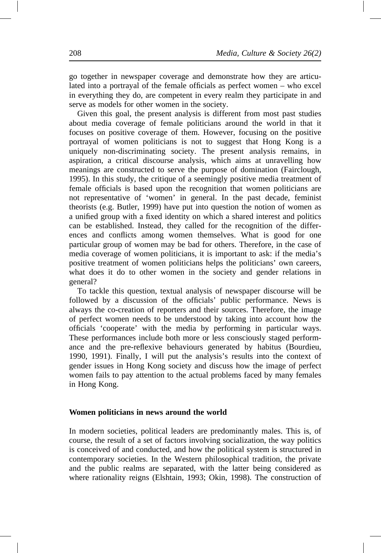go together in newspaper coverage and demonstrate how they are articulated into a portrayal of the female officials as perfect women – who excel in everything they do, are competent in every realm they participate in and serve as models for other women in the society.

Given this goal, the present analysis is different from most past studies about media coverage of female politicians around the world in that it focuses on positive coverage of them. However, focusing on the positive portrayal of women politicians is not to suggest that Hong Kong is a uniquely non-discriminating society. The present analysis remains, in aspiration, a critical discourse analysis, which aims at unravelling how meanings are constructed to serve the purpose of domination (Fairclough, 1995). In this study, the critique of a seemingly positive media treatment of female officials is based upon the recognition that women politicians are not representative of 'women' in general. In the past decade, feminist theorists (e.g. Butler, 1999) have put into question the notion of women as a unified group with a fixed identity on which a shared interest and politics can be established. Instead, they called for the recognition of the differences and conflicts among women themselves. What is good for one particular group of women may be bad for others. Therefore, in the case of media coverage of women politicians, it is important to ask: if the media's positive treatment of women politicians helps the politicians' own careers, what does it do to other women in the society and gender relations in general?

To tackle this question, textual analysis of newspaper discourse will be followed by a discussion of the officials' public performance. News is always the co-creation of reporters and their sources. Therefore, the image of perfect women needs to be understood by taking into account how the officials 'cooperate' with the media by performing in particular ways. These performances include both more or less consciously staged performance and the pre-reflexive behaviours generated by habitus (Bourdieu, 1990, 1991). Finally, I will put the analysis's results into the context of gender issues in Hong Kong society and discuss how the image of perfect women fails to pay attention to the actual problems faced by many females in Hong Kong.

#### **Women politicians in news around the world**

In modern societies, political leaders are predominantly males. This is, of course, the result of a set of factors involving socialization, the way politics is conceived of and conducted, and how the political system is structured in contemporary societies. In the Western philosophical tradition, the private and the public realms are separated, with the latter being considered as where rationality reigns (Elshtain, 1993; Okin, 1998). The construction of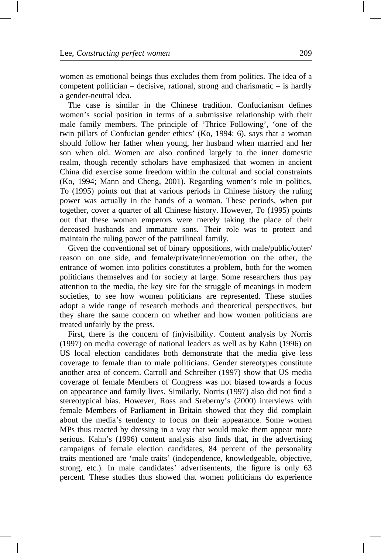women as emotional beings thus excludes them from politics. The idea of a competent politician – decisive, rational, strong and charismatic – is hardly a gender-neutral idea.

The case is similar in the Chinese tradition. Confucianism defines women's social position in terms of a submissive relationship with their male family members. The principle of 'Thrice Following', 'one of the twin pillars of Confucian gender ethics' (Ko, 1994: 6), says that a woman should follow her father when young, her husband when married and her son when old. Women are also confined largely to the inner domestic realm, though recently scholars have emphasized that women in ancient China did exercise some freedom within the cultural and social constraints (Ko, 1994; Mann and Cheng, 2001). Regarding women's role in politics, To (1995) points out that at various periods in Chinese history the ruling power was actually in the hands of a woman. These periods, when put together, cover a quarter of all Chinese history. However, To (1995) points out that these women emperors were merely taking the place of their deceased husbands and immature sons. Their role was to protect and maintain the ruling power of the patrilineal family.

Given the conventional set of binary oppositions, with male/public/outer/ reason on one side, and female/private/inner/emotion on the other, the entrance of women into politics constitutes a problem, both for the women politicians themselves and for society at large. Some researchers thus pay attention to the media, the key site for the struggle of meanings in modern societies, to see how women politicians are represented. These studies adopt a wide range of research methods and theoretical perspectives, but they share the same concern on whether and how women politicians are treated unfairly by the press.

First, there is the concern of (in)visibility. Content analysis by Norris (1997) on media coverage of national leaders as well as by Kahn (1996) on US local election candidates both demonstrate that the media give less coverage to female than to male politicians. Gender stereotypes constitute another area of concern. Carroll and Schreiber (1997) show that US media coverage of female Members of Congress was not biased towards a focus on appearance and family lives. Similarly, Norris (1997) also did not find a stereotypical bias. However, Ross and Sreberny's (2000) interviews with female Members of Parliament in Britain showed that they did complain about the media's tendency to focus on their appearance. Some women MPs thus reacted by dressing in a way that would make them appear more serious. Kahn's (1996) content analysis also finds that, in the advertising campaigns of female election candidates, 84 percent of the personality traits mentioned are 'male traits' (independence, knowledgeable, objective, strong, etc.). In male candidates' advertisements, the figure is only 63 percent. These studies thus showed that women politicians do experience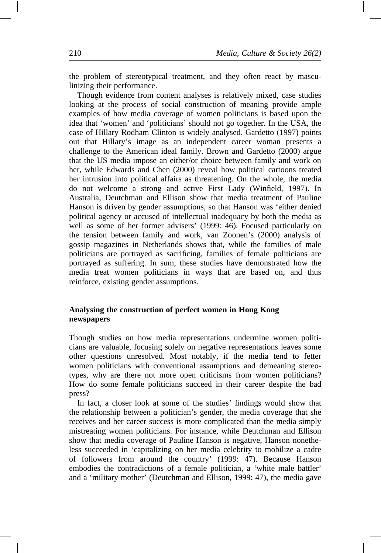the problem of stereotypical treatment, and they often react by masculinizing their performance.

Though evidence from content analyses is relatively mixed, case studies looking at the process of social construction of meaning provide ample examples of how media coverage of women politicians is based upon the idea that 'women' and 'politicians' should not go together. In the USA, the case of Hillary Rodham Clinton is widely analysed. Gardetto (1997) points out that Hillary's image as an independent career woman presents a challenge to the American ideal family. Brown and Gardetto (2000) argue that the US media impose an either/or choice between family and work on her, while Edwards and Chen (2000) reveal how political cartoons treated her intrusion into political affairs as threatening. On the whole, the media do not welcome a strong and active First Lady (Winfield, 1997). In Australia, Deutchman and Ellison show that media treatment of Pauline Hanson is driven by gender assumptions, so that Hanson was 'either denied political agency or accused of intellectual inadequacy by both the media as well as some of her former advisers' (1999: 46). Focused particularly on the tension between family and work, van Zoonen's (2000) analysis of gossip magazines in Netherlands shows that, while the families of male politicians are portrayed as sacrificing, families of female politicians are portrayed as suffering. In sum, these studies have demonstrated how the media treat women politicians in ways that are based on, and thus reinforce, existing gender assumptions.

## **Analysing the construction of perfect women in Hong Kong newspapers**

Though studies on how media representations undermine women politicians are valuable, focusing solely on negative representations leaves some other questions unresolved. Most notably, if the media tend to fetter women politicians with conventional assumptions and demeaning stereotypes, why are there not more open criticisms from women politicians? How do some female politicians succeed in their career despite the bad press?

In fact, a closer look at some of the studies' findings would show that the relationship between a politician's gender, the media coverage that she receives and her career success is more complicated than the media simply mistreating women politicians. For instance, while Deutchman and Ellison show that media coverage of Pauline Hanson is negative, Hanson nonetheless succeeded in 'capitalizing on her media celebrity to mobilize a cadre of followers from around the country' (1999: 47). Because Hanson embodies the contradictions of a female politician, a 'white male battler' and a 'military mother' (Deutchman and Ellison, 1999: 47), the media gave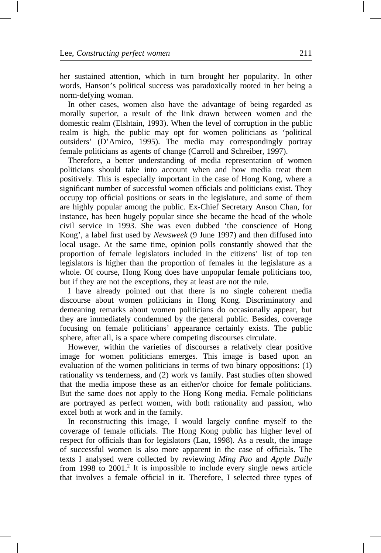her sustained attention, which in turn brought her popularity. In other words, Hanson's political success was paradoxically rooted in her being a norm-defying woman.

In other cases, women also have the advantage of being regarded as morally superior, a result of the link drawn between women and the domestic realm (Elshtain, 1993). When the level of corruption in the public realm is high, the public may opt for women politicians as 'political outsiders' (D'Amico, 1995). The media may correspondingly portray female politicians as agents of change (Carroll and Schreiber, 1997).

Therefore, a better understanding of media representation of women politicians should take into account when and how media treat them positively. This is especially important in the case of Hong Kong, where a significant number of successful women officials and politicians exist. They occupy top official positions or seats in the legislature, and some of them are highly popular among the public. Ex-Chief Secretary Anson Chan, for instance, has been hugely popular since she became the head of the whole civil service in 1993. She was even dubbed 'the conscience of Hong Kong', a label first used by *Newsweek* (9 June 1997) and then diffused into local usage. At the same time, opinion polls constantly showed that the proportion of female legislators included in the citizens' list of top ten legislators is higher than the proportion of females in the legislature as a whole. Of course, Hong Kong does have unpopular female politicians too, but if they are not the exceptions, they at least are not the rule.

I have already pointed out that there is no single coherent media discourse about women politicians in Hong Kong. Discriminatory and demeaning remarks about women politicians do occasionally appear, but they are immediately condemned by the general public. Besides, coverage focusing on female politicians' appearance certainly exists. The public sphere, after all, is a space where competing discourses circulate.

However, within the varieties of discourses a relatively clear positive image for women politicians emerges. This image is based upon an evaluation of the women politicians in terms of two binary oppositions: (1) rationality vs tenderness, and (2) work vs family. Past studies often showed that the media impose these as an either/or choice for female politicians. But the same does not apply to the Hong Kong media. Female politicians are portrayed as perfect women, with both rationality and passion, who excel both at work and in the family.

In reconstructing this image, I would largely confine myself to the coverage of female officials. The Hong Kong public has higher level of respect for officials than for legislators (Lau, 1998). As a result, the image of successful women is also more apparent in the case of officials. The texts I analysed were collected by reviewing *Ming Pao* and *Apple Daily* from 1998 to  $2001$ .<sup>2</sup> It is impossible to include every single news article that involves a female official in it. Therefore, I selected three types of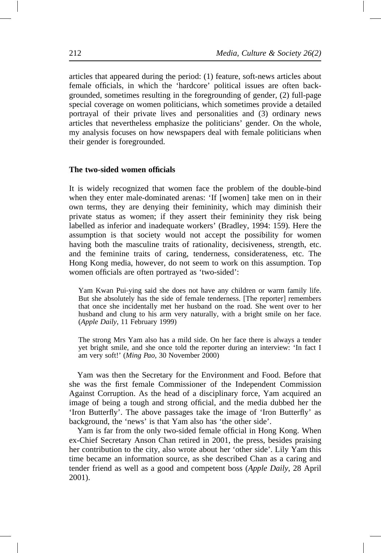articles that appeared during the period: (1) feature, soft-news articles about female officials, in which the 'hardcore' political issues are often backgrounded, sometimes resulting in the foregrounding of gender, (2) full-page special coverage on women politicians, which sometimes provide a detailed portrayal of their private lives and personalities and (3) ordinary news articles that nevertheless emphasize the politicians' gender. On the whole, my analysis focuses on how newspapers deal with female politicians when their gender is foregrounded.

#### **The two-sided women officials**

It is widely recognized that women face the problem of the double-bind when they enter male-dominated arenas: 'If [women] take men on in their own terms, they are denying their femininity, which may diminish their private status as women; if they assert their femininity they risk being labelled as inferior and inadequate workers' (Bradley, 1994: 159). Here the assumption is that society would not accept the possibility for women having both the masculine traits of rationality, decisiveness, strength, etc. and the feminine traits of caring, tenderness, considerateness, etc. The Hong Kong media, however, do not seem to work on this assumption. Top women officials are often portrayed as 'two-sided':

Yam Kwan Pui-ying said she does not have any children or warm family life. But she absolutely has the side of female tenderness. [The reporter] remembers that once she incidentally met her husband on the road. She went over to her husband and clung to his arm very naturally, with a bright smile on her face. (*Apple Daily*, 11 February 1999)

The strong Mrs Yam also has a mild side. On her face there is always a tender yet bright smile, and she once told the reporter during an interview: 'In fact I am very soft!' (*Ming Pao*, 30 November 2000)

Yam was then the Secretary for the Environment and Food. Before that she was the first female Commissioner of the Independent Commission Against Corruption. As the head of a disciplinary force, Yam acquired an image of being a tough and strong official, and the media dubbed her the 'Iron Butterfly'. The above passages take the image of 'Iron Butterfly' as background, the 'news' is that Yam also has 'the other side'.

Yam is far from the only two-sided female official in Hong Kong. When ex-Chief Secretary Anson Chan retired in 2001, the press, besides praising her contribution to the city, also wrote about her 'other side'. Lily Yam this time became an information source, as she described Chan as a caring and tender friend as well as a good and competent boss (*Apple Daily*, 28 April 2001).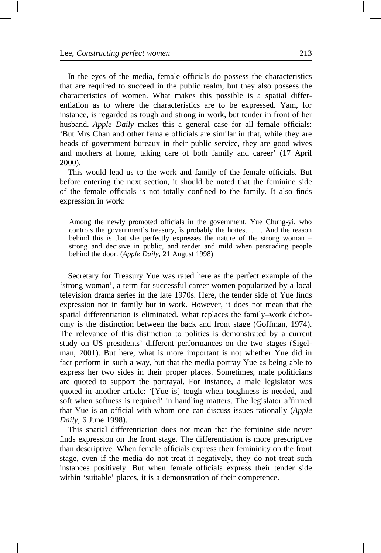In the eyes of the media, female officials do possess the characteristics that are required to succeed in the public realm, but they also possess the characteristics of women. What makes this possible is a spatial differentiation as to where the characteristics are to be expressed. Yam, for instance, is regarded as tough and strong in work, but tender in front of her husband. *Apple Daily* makes this a general case for all female officials: 'But Mrs Chan and other female officials are similar in that, while they are heads of government bureaux in their public service, they are good wives and mothers at home, taking care of both family and career' (17 April 2000).

This would lead us to the work and family of the female officials. But before entering the next section, it should be noted that the feminine side of the female officials is not totally confined to the family. It also finds expression in work:

Among the newly promoted officials in the government, Yue Chung-yi, who controls the government's treasury, is probably the hottest. . . . And the reason behind this is that she perfectly expresses the nature of the strong woman – strong and decisive in public, and tender and mild when persuading people behind the door. (*Apple Daily*, 21 August 1998)

Secretary for Treasury Yue was rated here as the perfect example of the 'strong woman', a term for successful career women popularized by a local television drama series in the late 1970s. Here, the tender side of Yue finds expression not in family but in work. However, it does not mean that the spatial differentiation is eliminated. What replaces the family–work dichotomy is the distinction between the back and front stage (Goffman, 1974). The relevance of this distinction to politics is demonstrated by a current study on US presidents' different performances on the two stages (Sigelman, 2001). But here, what is more important is not whether Yue did in fact perform in such a way, but that the media portray Yue as being able to express her two sides in their proper places. Sometimes, male politicians are quoted to support the portrayal. For instance, a male legislator was quoted in another article: '[Yue is] tough when toughness is needed, and soft when softness is required' in handling matters. The legislator affirmed that Yue is an official with whom one can discuss issues rationally (*Apple Daily*, 6 June 1998).

This spatial differentiation does not mean that the feminine side never finds expression on the front stage. The differentiation is more prescriptive than descriptive. When female officials express their femininity on the front stage, even if the media do not treat it negatively, they do not treat such instances positively. But when female officials express their tender side within 'suitable' places, it is a demonstration of their competence.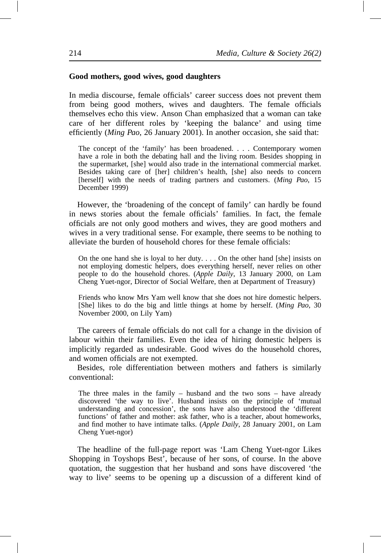## **Good mothers, good wives, good daughters**

In media discourse, female officials' career success does not prevent them from being good mothers, wives and daughters. The female officials themselves echo this view. Anson Chan emphasized that a woman can take care of her different roles by 'keeping the balance' and using time efficiently (*Ming Pao*, 26 January 2001). In another occasion, she said that:

The concept of the 'family' has been broadened. . . . Contemporary women have a role in both the debating hall and the living room. Besides shopping in the supermarket, [she] would also trade in the international commercial market. Besides taking care of [her] children's health, [she] also needs to concern [herself] with the needs of trading partners and customers. (*Ming Pao*, 15 December 1999)

However, the 'broadening of the concept of family' can hardly be found in news stories about the female officials' families. In fact, the female officials are not only good mothers and wives, they are good mothers and wives in a very traditional sense. For example, there seems to be nothing to alleviate the burden of household chores for these female officials:

On the one hand she is loyal to her duty. . . . On the other hand [she] insists on not employing domestic helpers, does everything herself, never relies on other people to do the household chores. (*Apple Daily*, 13 January 2000, on Lam Cheng Yuet-ngor, Director of Social Welfare, then at Department of Treasury)

Friends who know Mrs Yam well know that she does not hire domestic helpers. [She] likes to do the big and little things at home by herself. (*Ming Pao*, 30 November 2000, on Lily Yam)

The careers of female officials do not call for a change in the division of labour within their families. Even the idea of hiring domestic helpers is implicitly regarded as undesirable. Good wives do the household chores, and women officials are not exempted.

Besides, role differentiation between mothers and fathers is similarly conventional:

The three males in the family – husband and the two sons – have already discovered 'the way to live'. Husband insists on the principle of 'mutual understanding and concession', the sons have also understood the 'different functions' of father and mother: ask father, who is a teacher, about homeworks, and find mother to have intimate talks. (*Apple Daily*, 28 January 2001, on Lam Cheng Yuet-ngor)

The headline of the full-page report was 'Lam Cheng Yuet-ngor Likes Shopping in Toyshops Best', because of her sons, of course. In the above quotation, the suggestion that her husband and sons have discovered 'the way to live' seems to be opening up a discussion of a different kind of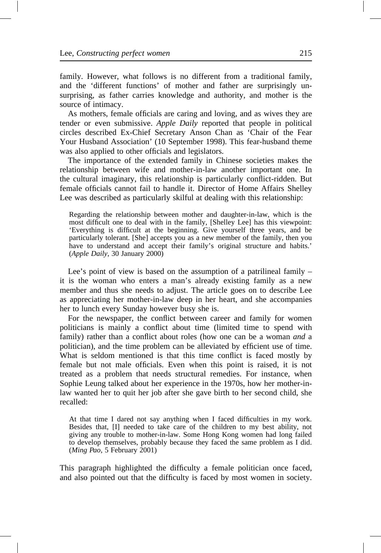family. However, what follows is no different from a traditional family, and the 'different functions' of mother and father are surprisingly unsurprising, as father carries knowledge and authority, and mother is the source of intimacy.

As mothers, female officials are caring and loving, and as wives they are tender or even submissive. *Apple Daily* reported that people in political circles described Ex-Chief Secretary Anson Chan as 'Chair of the Fear Your Husband Association' (10 September 1998). This fear-husband theme was also applied to other officials and legislators.

The importance of the extended family in Chinese societies makes the relationship between wife and mother-in-law another important one. In the cultural imaginary, this relationship is particularly conflict-ridden. But female officials cannot fail to handle it. Director of Home Affairs Shelley Lee was described as particularly skilful at dealing with this relationship:

Regarding the relationship between mother and daughter-in-law, which is the most difficult one to deal with in the family, [Shelley Lee] has this viewpoint: 'Everything is difficult at the beginning. Give yourself three years, and be particularly tolerant. [She] accepts you as a new member of the family, then you have to understand and accept their family's original structure and habits.' (*Apple Daily*, 30 January 2000)

Lee's point of view is based on the assumption of a patrilineal family – it is the woman who enters a man's already existing family as a new member and thus she needs to adjust. The article goes on to describe Lee as appreciating her mother-in-law deep in her heart, and she accompanies her to lunch every Sunday however busy she is.

For the newspaper, the conflict between career and family for women politicians is mainly a conflict about time (limited time to spend with family) rather than a conflict about roles (how one can be a woman *and* a politician), and the time problem can be alleviated by efficient use of time. What is seldom mentioned is that this time conflict is faced mostly by female but not male officials. Even when this point is raised, it is not treated as a problem that needs structural remedies. For instance, when Sophie Leung talked about her experience in the 1970s, how her mother-inlaw wanted her to quit her job after she gave birth to her second child, she recalled:

At that time I dared not say anything when I faced difficulties in my work. Besides that, [I] needed to take care of the children to my best ability, not giving any trouble to mother-in-law. Some Hong Kong women had long failed to develop themselves, probably because they faced the same problem as I did. (*Ming Pao*, 5 February 2001)

This paragraph highlighted the difficulty a female politician once faced, and also pointed out that the difficulty is faced by most women in society.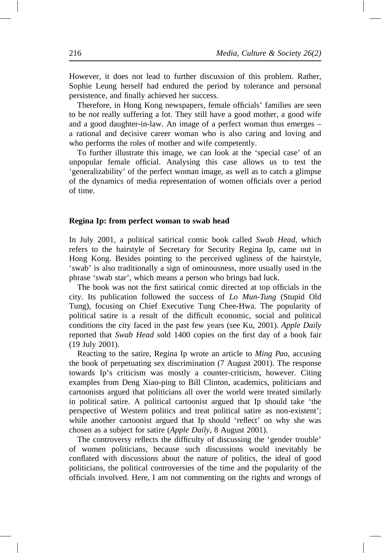However, it does not lead to further discussion of this problem. Rather, Sophie Leung herself had endured the period by tolerance and personal persistence, and finally achieved her success.

Therefore, in Hong Kong newspapers, female officials' families are seen to be *not* really suffering a lot. They still have a good mother, a good wife and a good daughter-in-law. An image of a perfect woman thus emerges – a rational and decisive career woman who is also caring and loving and who performs the roles of mother and wife competently.

To further illustrate this image, we can look at the 'special case' of an unpopular female official. Analysing this case allows us to test the 'generalizability' of the perfect woman image, as well as to catch a glimpse of the dynamics of media representation of women officials over a period of time.

#### **Regina Ip: from perfect woman to swab head**

In July 2001, a political satirical comic book called *Swab Head*, which refers to the hairstyle of Secretary for Security Regina Ip, came out in Hong Kong. Besides pointing to the perceived ugliness of the hairstyle, 'swab' is also traditionally a sign of ominousness, more usually used in the phrase 'swab star', which means a person who brings bad luck.

The book was not the first satirical comic directed at top officials in the city. Its publication followed the success of *Lo Mun-Tung* (Stupid Old Tung), focusing on Chief Executive Tung Chee-Hwa. The popularity of political satire is a result of the difficult economic, social and political conditions the city faced in the past few years (see Ku, 2001). *Apple Daily* reported that *Swab Head* sold 1400 copies on the first day of a book fair (19 July 2001).

Reacting to the satire, Regina Ip wrote an article to *Ming Pao*, accusing the book of perpetuating sex discrimination (7 August 2001). The response towards Ip's criticism was mostly a counter-criticism, however. Citing examples from Deng Xiao-ping to Bill Clinton, academics, politicians and cartoonists argued that politicians all over the world were treated similarly in political satire. A political cartoonist argued that Ip should take 'the perspective of Western politics and treat political satire as non-existent'; while another cartoonist argued that Ip should 'reflect' on why she was chosen as a subject for satire (*Apple Daily*, 8 August 2001).

The controversy reflects the difficulty of discussing the 'gender trouble' of women politicians, because such discussions would inevitably be conflated with discussions about the nature of politics, the ideal of good politicians, the political controversies of the time and the popularity of the officials involved. Here, I am not commenting on the rights and wrongs of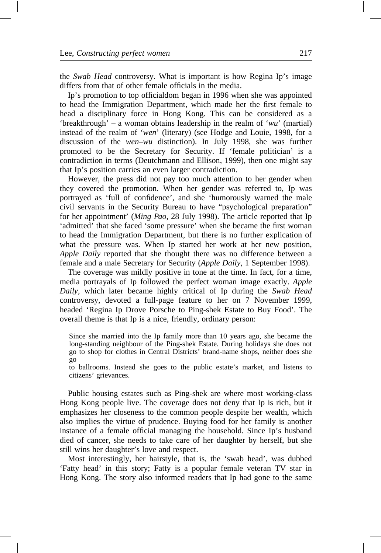the *Swab Head* controversy. What is important is how Regina Ip's image differs from that of other female officials in the media.

Ip's promotion to top officialdom began in 1996 when she was appointed to head the Immigration Department, which made her the first female to head a disciplinary force in Hong Kong. This can be considered as a 'breakthrough' – a woman obtains leadership in the realm of '*wu*' (martial) instead of the realm of '*wen*' (literary) (see Hodge and Louie, 1998, for a discussion of the *wen*–*wu* distinction). In July 1998, she was further promoted to be the Secretary for Security. If 'female politician' is a contradiction in terms (Deutchmann and Ellison, 1999), then one might say that Ip's position carries an even larger contradiction.

However, the press did not pay too much attention to her gender when they covered the promotion. When her gender was referred to, Ip was portrayed as 'full of confidence', and she 'humorously warned the male civil servants in the Security Bureau to have "psychological preparation" for her appointment' (*Ming Pao*, 28 July 1998). The article reported that Ip 'admitted' that she faced 'some pressure' when she became the first woman to head the Immigration Department, but there is no further explication of what the pressure was. When Ip started her work at her new position, *Apple Daily* reported that she thought there was no difference between a female and a male Secretary for Security (*Apple Daily*, 1 September 1998).

The coverage was mildly positive in tone at the time. In fact, for a time, media portrayals of Ip followed the perfect woman image exactly. *Apple Daily*, which later became highly critical of Ip during the *Swab Head* controversy, devoted a full-page feature to her on 7 November 1999, headed 'Regina Ip Drove Porsche to Ping-shek Estate to Buy Food'. The overall theme is that Ip is a nice, friendly, ordinary person:

Since she married into the Ip family more than 10 years ago, she became the long-standing neighbour of the Ping-shek Estate. During holidays she does not go to shop for clothes in Central Districts' brand-name shops, neither does she go

to ballrooms. Instead she goes to the public estate's market, and listens to citizens' grievances.

Public housing estates such as Ping-shek are where most working-class Hong Kong people live. The coverage does not deny that Ip is rich, but it emphasizes her closeness to the common people despite her wealth, which also implies the virtue of prudence. Buying food for her family is another instance of a female official managing the household. Since Ip's husband died of cancer, she needs to take care of her daughter by herself, but she still wins her daughter's love and respect.

Most interestingly, her hairstyle, that is, the 'swab head', was dubbed 'Fatty head' in this story; Fatty is a popular female veteran TV star in Hong Kong. The story also informed readers that Ip had gone to the same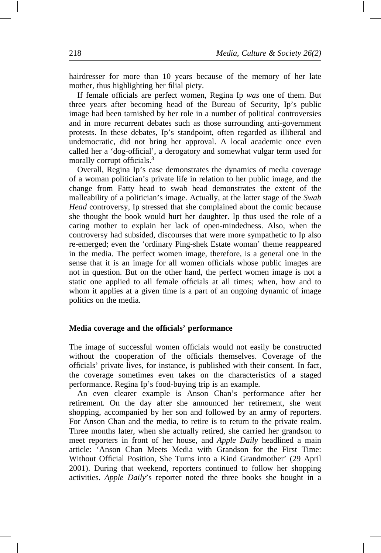hairdresser for more than 10 years because of the memory of her late mother, thus highlighting her filial piety.

If female officials are perfect women, Regina Ip *was* one of them. But three years after becoming head of the Bureau of Security, Ip's public image had been tarnished by her role in a number of political controversies and in more recurrent debates such as those surrounding anti-government protests. In these debates, Ip's standpoint, often regarded as illiberal and undemocratic, did not bring her approval. A local academic once even called her a 'dog-official', a derogatory and somewhat vulgar term used for morally corrupt officials.<sup>3</sup>

Overall, Regina Ip's case demonstrates the dynamics of media coverage of a woman politician's private life in relation to her public image, and the change from Fatty head to swab head demonstrates the extent of the malleability of a politician's image. Actually, at the latter stage of the *Swab Head* controversy, Ip stressed that she complained about the comic because she thought the book would hurt her daughter. Ip thus used the role of a caring mother to explain her lack of open-mindedness. Also, when the controversy had subsided, discourses that were more sympathetic to Ip also re-emerged; even the 'ordinary Ping-shek Estate woman' theme reappeared in the media. The perfect women image, therefore, is a general one in the sense that it is an image for all women officials whose public images are not in question. But on the other hand, the perfect women image is not a static one applied to all female officials at all times; when, how and to whom it applies at a given time is a part of an ongoing dynamic of image politics on the media.

## **Media coverage and the officials' performance**

The image of successful women officials would not easily be constructed without the cooperation of the officials themselves. Coverage of the officials' private lives, for instance, is published with their consent. In fact, the coverage sometimes even takes on the characteristics of a staged performance. Regina Ip's food-buying trip is an example.

An even clearer example is Anson Chan's performance after her retirement. On the day after she announced her retirement, she went shopping, accompanied by her son and followed by an army of reporters. For Anson Chan and the media, to retire is to return to the private realm. Three months later, when she actually retired, she carried her grandson to meet reporters in front of her house, and *Apple Daily* headlined a main article: 'Anson Chan Meets Media with Grandson for the First Time: Without Official Position, She Turns into a Kind Grandmother' (29 April 2001). During that weekend, reporters continued to follow her shopping activities. *Apple Daily*'s reporter noted the three books she bought in a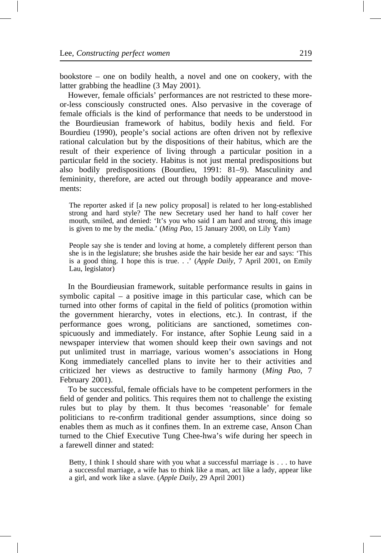bookstore – one on bodily health, a novel and one on cookery, with the latter grabbing the headline (3 May 2001).

However, female officials' performances are not restricted to these moreor-less consciously constructed ones. Also pervasive in the coverage of female officials is the kind of performance that needs to be understood in the Bourdieusian framework of habitus, bodily hexis and field. For Bourdieu (1990), people's social actions are often driven not by reflexive rational calculation but by the dispositions of their habitus, which are the result of their experience of living through a particular position in a particular field in the society. Habitus is not just mental predispositions but also bodily predispositions (Bourdieu, 1991: 81–9). Masculinity and femininity, therefore, are acted out through bodily appearance and movements:

The reporter asked if [a new policy proposal] is related to her long-established strong and hard style? The new Secretary used her hand to half cover her mouth, smiled, and denied: 'It's you who said I am hard and strong, this image is given to me by the media.' (*Ming Pao*, 15 January 2000, on Lily Yam)

People say she is tender and loving at home, a completely different person than she is in the legislature; she brushes aside the hair beside her ear and says: 'This is a good thing. I hope this is true. . .' (*Apple Daily*, 7 April 2001, on Emily Lau, legislator)

In the Bourdieusian framework, suitable performance results in gains in symbolic capital – a positive image in this particular case, which can be turned into other forms of capital in the field of politics (promotion within the government hierarchy, votes in elections, etc.). In contrast, if the performance goes wrong, politicians are sanctioned, sometimes conspicuously and immediately. For instance, after Sophie Leung said in a newspaper interview that women should keep their own savings and not put unlimited trust in marriage, various women's associations in Hong Kong immediately cancelled plans to invite her to their activities and criticized her views as destructive to family harmony (*Ming Pao*, 7 February 2001).

To be successful, female officials have to be competent performers in the field of gender and politics. This requires them not to challenge the existing rules but to play by them. It thus becomes 'reasonable' for female politicians to re-confirm traditional gender assumptions, since doing so enables them as much as it confines them. In an extreme case, Anson Chan turned to the Chief Executive Tung Chee-hwa's wife during her speech in a farewell dinner and stated:

Betty, I think I should share with you what a successful marriage is . . . to have a successful marriage, a wife has to think like a man, act like a lady, appear like a girl, and work like a slave. (*Apple Daily*, 29 April 2001)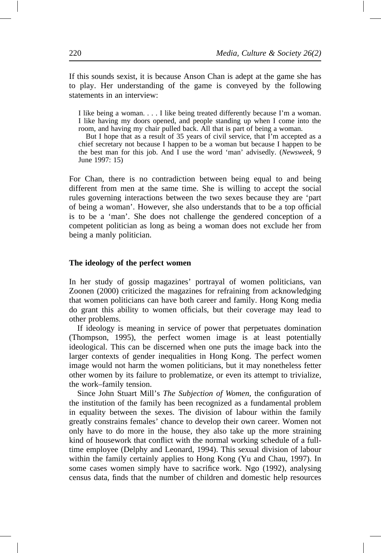If this sounds sexist, it is because Anson Chan is adept at the game she has to play. Her understanding of the game is conveyed by the following statements in an interview:

I like being a woman. . . . I like being treated differently because I'm a woman. I like having my doors opened, and people standing up when I come into the room, and having my chair pulled back. All that is part of being a woman.

But I hope that as a result of 35 years of civil service, that  $\overrightarrow{P}$  m accepted as a chief secretary not because I happen to be a woman but because I happen to be the best man for this job. And I use the word 'man' advisedly. (*Newsweek*, 9 June 1997: 15)

For Chan, there is no contradiction between being equal to and being different from men at the same time. She is willing to accept the social rules governing interactions between the two sexes because they are 'part of being a woman'. However, she also understands that to be a top official is to be a 'man'. She does not challenge the gendered conception of a competent politician as long as being a woman does not exclude her from being a manly politician.

## **The ideology of the perfect women**

In her study of gossip magazines' portrayal of women politicians, van Zoonen (2000) criticized the magazines for refraining from acknowledging that women politicians can have both career and family. Hong Kong media do grant this ability to women officials, but their coverage may lead to other problems.

If ideology is meaning in service of power that perpetuates domination (Thompson, 1995), the perfect women image is at least potentially ideological. This can be discerned when one puts the image back into the larger contexts of gender inequalities in Hong Kong. The perfect women image would not harm the women politicians, but it may nonetheless fetter other women by its failure to problematize, or even its attempt to trivialize, the work–family tension.

Since John Stuart Mill's *The Subjection of Women*, the configuration of the institution of the family has been recognized as a fundamental problem in equality between the sexes. The division of labour within the family greatly constrains females' chance to develop their own career. Women not only have to do more in the house, they also take up the more straining kind of housework that conflict with the normal working schedule of a fulltime employee (Delphy and Leonard, 1994). This sexual division of labour within the family certainly applies to Hong Kong (Yu and Chau, 1997). In some cases women simply have to sacrifice work. Ngo (1992), analysing census data, finds that the number of children and domestic help resources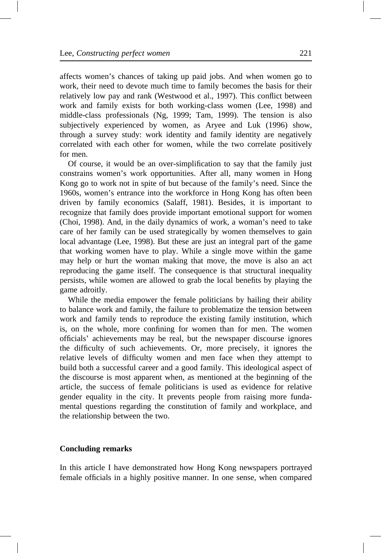affects women's chances of taking up paid jobs. And when women go to work, their need to devote much time to family becomes the basis for their relatively low pay and rank (Westwood et al., 1997). This conflict between work and family exists for both working-class women (Lee, 1998) and middle-class professionals (Ng, 1999; Tam, 1999). The tension is also subjectively experienced by women, as Aryee and Luk (1996) show, through a survey study: work identity and family identity are negatively correlated with each other for women, while the two correlate positively for men.

Of course, it would be an over-simplification to say that the family just constrains women's work opportunities. After all, many women in Hong Kong go to work not in spite of but because of the family's need. Since the 1960s, women's entrance into the workforce in Hong Kong has often been driven by family economics (Salaff, 1981). Besides, it is important to recognize that family does provide important emotional support for women (Choi, 1998). And, in the daily dynamics of work, a woman's need to take care of her family can be used strategically by women themselves to gain local advantage (Lee, 1998). But these are just an integral part of the game that working women have to play. While a single move within the game may help or hurt the woman making that move, the move is also an act reproducing the game itself. The consequence is that structural inequality persists, while women are allowed to grab the local benefits by playing the game adroitly.

While the media empower the female politicians by hailing their ability to balance work and family, the failure to problematize the tension between work and family tends to reproduce the existing family institution, which is, on the whole, more confining for women than for men. The women officials' achievements may be real, but the newspaper discourse ignores the difficulty of such achievements. Or, more precisely, it ignores the relative levels of difficulty women and men face when they attempt to build both a successful career and a good family. This ideological aspect of the discourse is most apparent when, as mentioned at the beginning of the article, the success of female politicians is used as evidence for relative gender equality in the city. It prevents people from raising more fundamental questions regarding the constitution of family and workplace, and the relationship between the two.

## **Concluding remarks**

In this article I have demonstrated how Hong Kong newspapers portrayed female officials in a highly positive manner. In one sense, when compared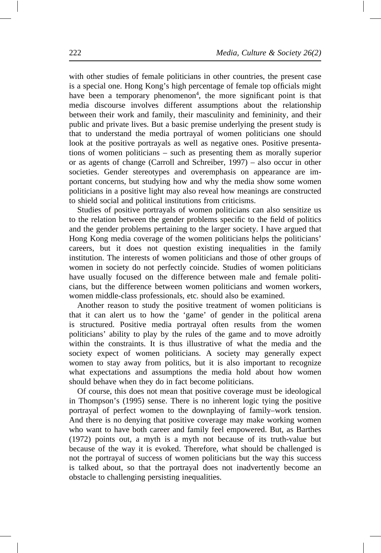with other studies of female politicians in other countries, the present case is a special one. Hong Kong's high percentage of female top officials might have been a temporary phenomenon<sup>4</sup>, the more significant point is that media discourse involves different assumptions about the relationship between their work and family, their masculinity and femininity, and their public and private lives. But a basic premise underlying the present study is that to understand the media portrayal of women politicians one should look at the positive portrayals as well as negative ones. Positive presentations of women politicians – such as presenting them as morally superior or as agents of change (Carroll and Schreiber, 1997) – also occur in other societies. Gender stereotypes and overemphasis on appearance are important concerns, but studying how and why the media show some women politicians in a positive light may also reveal how meanings are constructed to shield social and political institutions from criticisms.

Studies of positive portrayals of women politicians can also sensitize us to the relation between the gender problems specific to the field of politics and the gender problems pertaining to the larger society. I have argued that Hong Kong media coverage of the women politicians helps the politicians' careers, but it does not question existing inequalities in the family institution. The interests of women politicians and those of other groups of women in society do not perfectly coincide. Studies of women politicians have usually focused on the difference between male and female politicians, but the difference between women politicians and women workers, women middle-class professionals, etc. should also be examined.

Another reason to study the positive treatment of women politicians is that it can alert us to how the 'game' of gender in the political arena is structured. Positive media portrayal often results from the women politicians' ability to play by the rules of the game and to move adroitly within the constraints. It is thus illustrative of what the media and the society expect of women politicians. A society may generally expect women to stay away from politics, but it is also important to recognize what expectations and assumptions the media hold about how women should behave when they do in fact become politicians.

Of course, this does not mean that positive coverage must be ideological in Thompson's (1995) sense. There is no inherent logic tying the positive portrayal of perfect women to the downplaying of family–work tension. And there is no denying that positive coverage may make working women who want to have both career and family feel empowered. But, as Barthes (1972) points out, a myth is a myth not because of its truth-value but because of the way it is evoked. Therefore, what should be challenged is not the portrayal of success of women politicians but the way this success is talked about, so that the portrayal does not inadvertently become an obstacle to challenging persisting inequalities.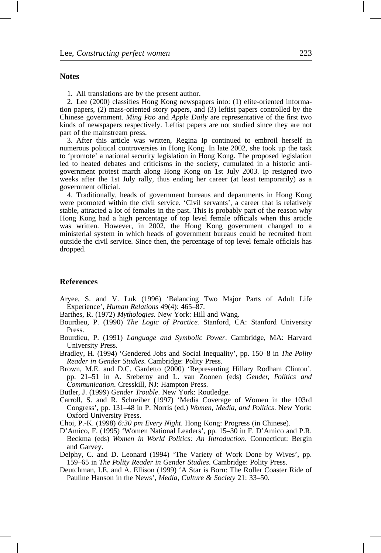#### **Notes**

1. All translations are by the present author.

2. Lee (2000) classifies Hong Kong newspapers into: (1) elite-oriented information papers, (2) mass-oriented story papers, and (3) leftist papers controlled by the Chinese government. *Ming Pao* and *Apple Daily* are representative of the first two kinds of newspapers respectively. Leftist papers are not studied since they are not part of the mainstream press.

3. After this article was written, Regina Ip continued to embroil herself in numerous political controversies in Hong Kong. In late 2002, she took up the task to 'promote' a national security legislation in Hong Kong. The proposed legislation led to heated debates and criticisms in the society, cumulated in a historic antigovernment protest march along Hong Kong on 1st July 2003. Ip resigned two weeks after the 1st July rally, thus ending her career (at least temporarily) as a government official.

4. Traditionally, heads of government bureaus and departments in Hong Kong were promoted within the civil service. 'Civil servants', a career that is relatively stable, attracted a lot of females in the past. This is probably part of the reason why Hong Kong had a high percentage of top level female officials when this article was written. However, in 2002, the Hong Kong government changed to a ministerial system in which heads of government bureaus could be recruited from outside the civil service. Since then, the percentage of top level female officials has dropped.

## **References**

- Aryee, S. and V. Luk (1996) 'Balancing Two Major Parts of Adult Life Experience', *Human Relations* 49(4): 465–87.
- Barthes, R. (1972) *Mythologies*. New York: Hill and Wang.
- Bourdieu, P. (1990) *The Logic of Practice.* Stanford, CA: Stanford University Press.
- Bourdieu, P. (1991) *Language and Symbolic Power*. Cambridge, MA: Harvard University Press.
- Bradley, H. (1994) 'Gendered Jobs and Social Inequality', pp. 150–8 in *The Polity Reader in Gender Studies*. Cambridge: Polity Press.
- Brown, M.E. and D.C. Gardetto (2000) 'Representing Hillary Rodham Clinton', pp. 21–51 in A. Sreberny and L. van Zoonen (eds) *Gender, Politics and Communication*. Cresskill, NJ: Hampton Press.
- Butler, J. (1999) *Gender Trouble*. New York: Routledge.
- Carroll, S. and R. Schreiber (1997) 'Media Coverage of Women in the 103rd Congress', pp. 131–48 in P. Norris (ed.) *Women, Media, and Politics*. New York: Oxford University Press.
- Choi, P.-K. (1998) *6:30 pm Every Night*. Hong Kong: Progress (in Chinese).
- D'Amico, F. (1995) 'Women National Leaders', pp. 15–30 in F. D'Amico and P.R. Beckma (eds) *Women in World Politics: An Introduction*. Connecticut: Bergin and Garvey.
- Delphy, C. and D. Leonard (1994) 'The Variety of Work Done by Wives', pp. 159–65 in *The Polity Reader in Gender Studies*. Cambridge: Polity Press.
- Deutchman, I.E. and A. Ellison (1999) 'A Star is Born: The Roller Coaster Ride of Pauline Hanson in the News', *Media, Culture & Society* 21: 33–50.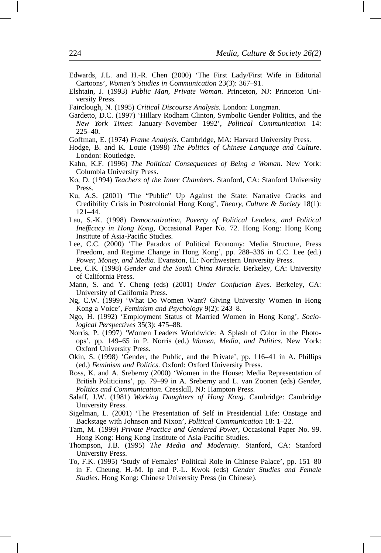- Edwards, J.L. and H.-R. Chen (2000) 'The First Lady/First Wife in Editorial Cartoons', *Women's Studies in Communication* 23(3): 367–91.
- Elshtain, J. (1993) *Public Man, Private Woman*. Princeton, NJ: Princeton University Press.
- Fairclough, N. (1995) *Critical Discourse Analysis*. London: Longman.
- Gardetto, D.C. (1997) 'Hillary Rodham Clinton, Symbolic Gender Politics, and the *New York Times*: January–November 1992', *Political Communication* 14:  $225 - 40.$
- Goffman, E. (1974) *Frame Analysis*. Cambridge, MA: Harvard University Press.
- Hodge, B. and K. Louie (1998) *The Politics of Chinese Language and Culture*. London: Routledge.
- Kahn, K.F. (1996) *The Political Consequences of Being a Woman*. New York: Columbia University Press.
- Ko, D. (1994) *Teachers of the Inner Chambers*. Stanford, CA: Stanford University Press.
- Ku, A.S. (2001) 'The "Public" Up Against the State: Narrative Cracks and Credibility Crisis in Postcolonial Hong Kong', *Theory, Culture & Society* 18(1): 121–44.
- Lau, S.-K. (1998) *Democratization, Poverty of Political Leaders, and Political Inefficacy in Hong Kong*, Occasional Paper No. 72. Hong Kong: Hong Kong Institute of Asia-Pacific Studies.
- Lee, C.C. (2000) 'The Paradox of Political Economy: Media Structure, Press Freedom, and Regime Change in Hong Kong', pp. 288–336 in C.C. Lee (ed.) *Power, Money, and Media*. Evanston, IL: Northwestern University Press.
- Lee, C.K. (1998) *Gender and the South China Miracle*. Berkeley, CA: University of California Press.
- Mann, S. and Y. Cheng (eds) (2001) *Under Confucian Eyes.* Berkeley, CA: University of California Press.
- Ng, C.W. (1999) 'What Do Women Want? Giving University Women in Hong Kong a Voice', *Feminism and Psychology* 9(2): 243–8.
- Ngo, H. (1992) 'Employment Status of Married Women in Hong Kong', *Sociological Perspectives* 35(3): 475–88.
- Norris, P. (1997) 'Women Leaders Worldwide: A Splash of Color in the Photoops', pp. 149–65 in P. Norris (ed.) *Women, Media, and Politics*. New York: Oxford University Press.
- Okin, S. (1998) 'Gender, the Public, and the Private', pp. 116–41 in A. Phillips (ed.) *Feminism and Politics*. Oxford: Oxford University Press.
- Ross, K. and A. Sreberny (2000) 'Women in the House: Media Representation of British Politicians', pp. 79–99 in A. Sreberny and L. van Zoonen (eds) *Gender, Politics and Communication*. Cresskill, NJ: Hampton Press.
- Salaff, J.W. (1981) *Working Daughters of Hong Kong*. Cambridge: Cambridge University Press.
- Sigelman, L. (2001) 'The Presentation of Self in Presidential Life: Onstage and Backstage with Johnson and Nixon', *Political Communication* 18: 1–22.
- Tam, M. (1999) *Private Practice and Gendered Power*, Occasional Paper No. 99. Hong Kong: Hong Kong Institute of Asia-Pacific Studies.
- Thompson, J.B. (1995) *The Media and Modernity*. Stanford, CA: Stanford University Press.
- To, F.K. (1995) 'Study of Females' Political Role in Chinese Palace', pp. 151–80 in F. Cheung, H.-M. Ip and P.-L. Kwok (eds) *Gender Studies and Female Studies*. Hong Kong: Chinese University Press (in Chinese).